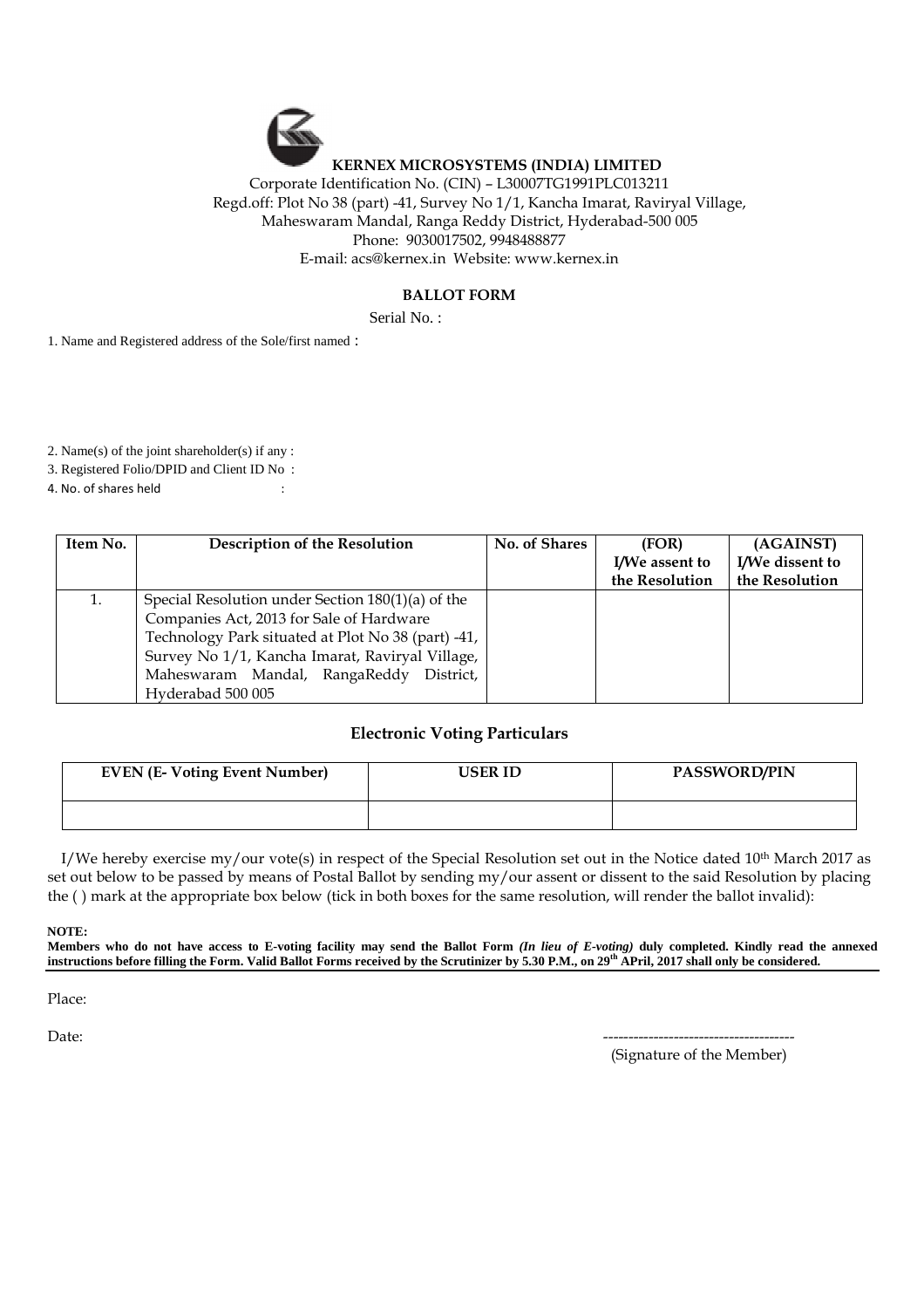## **KERNEX MICROSYSTEMS (INDIA) LIMITED**  Corporate Identification No. (CIN) – L30007TG1991PLC013211 Regd.off: Plot No 38 (part) -41, Survey No 1/1, Kancha Imarat, Raviryal Village, Maheswaram Mandal, Ranga Reddy District, Hyderabad-500 005 Phone: 9030017502, 9948488877

E-mail: acs@kernex.in Website: www.kernex.in

## **BALLOT FORM**

Serial No.:

1. Name and Registered address of the Sole/first named :

2. Name(s) of the joint shareholder(s) if any :

3. Registered Folio/DPID and Client ID No:

4. No. of shares held :

| Item No. | <b>Description of the Resolution</b>               | No. of Shares | (FOR)          | (AGAINST)       |
|----------|----------------------------------------------------|---------------|----------------|-----------------|
|          |                                                    |               | I/We assent to | I/We dissent to |
|          |                                                    |               | the Resolution | the Resolution  |
| 1.       | Special Resolution under Section 180(1)(a) of the  |               |                |                 |
|          | Companies Act, 2013 for Sale of Hardware           |               |                |                 |
|          | Technology Park situated at Plot No 38 (part) -41, |               |                |                 |
|          | Survey No 1/1, Kancha Imarat, Raviryal Village,    |               |                |                 |
|          | Maheswaram Mandal, RangaReddy District,            |               |                |                 |
|          | Hyderabad 500 005                                  |               |                |                 |

## **Electronic Voting Particulars**

| <b>EVEN (E-Voting Event Number)</b> | USER ID | <b>PASSWORD/PIN</b> |
|-------------------------------------|---------|---------------------|
|                                     |         |                     |

I/We hereby exercise my/our vote(s) in respect of the Special Resolution set out in the Notice dated  $10<sup>th</sup>$  March 2017 as set out below to be passed by means of Postal Ballot by sending my/our assent or dissent to the said Resolution by placing the ( ) mark at the appropriate box below (tick in both boxes for the same resolution, will render the ballot invalid):

 **NOTE:** 

**Members who do not have access to E-voting facility may send the Ballot Form** *(In lieu of E-voting)* **duly completed. Kindly read the annexed instructions before filling the Form. Valid Ballot Forms received by the Scrutinizer by 5.30 P.M., on 29th APril, 2017 shall only be considered.** 

Place:

Date: --------------------------------------

(Signature of the Member)